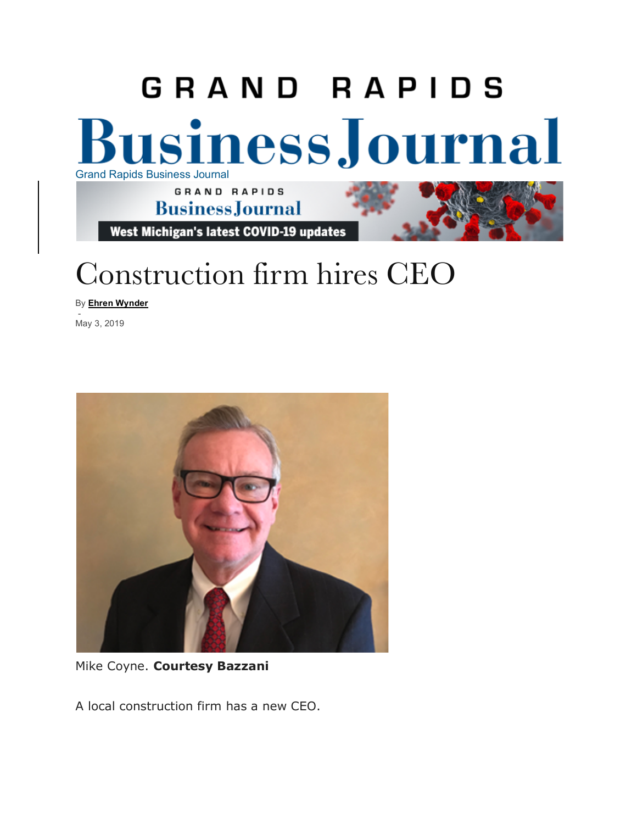### GRAND RAPIDS **Business Journal** Grand Rapids Business Journal GRAND RAPIDS **BusinessJournal**

West Michigan's latest COVID-19 updates

# Construction firm hires CEO

By **Ehren Wynder**

- May 3, 2019



Mike Coyne. **Courtesy Bazzani**

A local construction firm has a new CEO.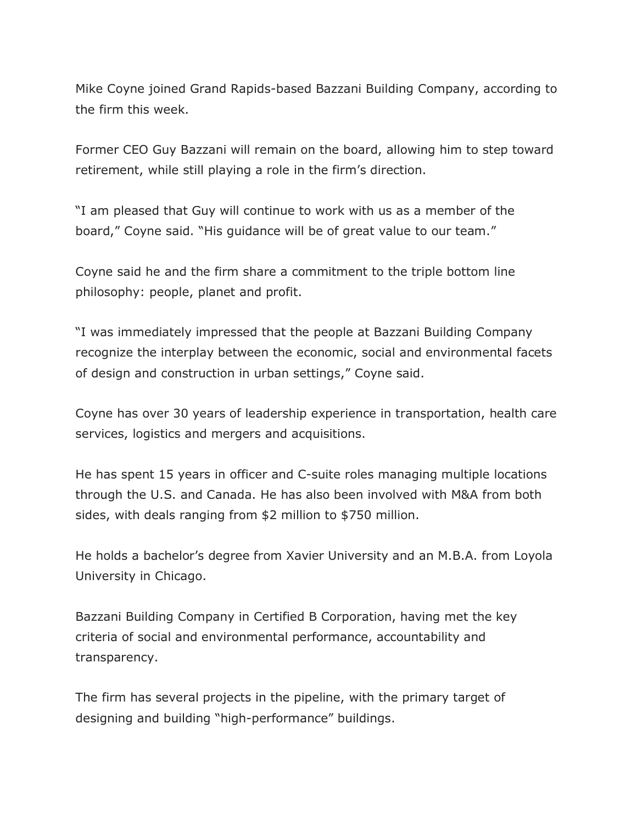Mike Coyne joined Grand Rapids-based Bazzani Building Company, according to the firm this week.

Former CEO Guy Bazzani will remain on the board, allowing him to step toward retirement, while still playing a role in the firm's direction.

"I am pleased that Guy will continue to work with us as a member of the board," Coyne said. "His guidance will be of great value to our team."

Coyne said he and the firm share a commitment to the triple bottom line philosophy: people, planet and profit.

"I was immediately impressed that the people at Bazzani Building Company recognize the interplay between the economic, social and environmental facets of design and construction in urban settings," Coyne said.

Coyne has over 30 years of leadership experience in transportation, health care services, logistics and mergers and acquisitions.

He has spent 15 years in officer and C-suite roles managing multiple locations through the U.S. and Canada. He has also been involved with M&A from both sides, with deals ranging from \$2 million to \$750 million.

He holds a bachelor's degree from Xavier University and an M.B.A. from Loyola University in Chicago.

Bazzani Building Company in Certified B Corporation, having met the key criteria of social and environmental performance, accountability and transparency.

The firm has several projects in the pipeline, with the primary target of designing and building "high-performance" buildings.